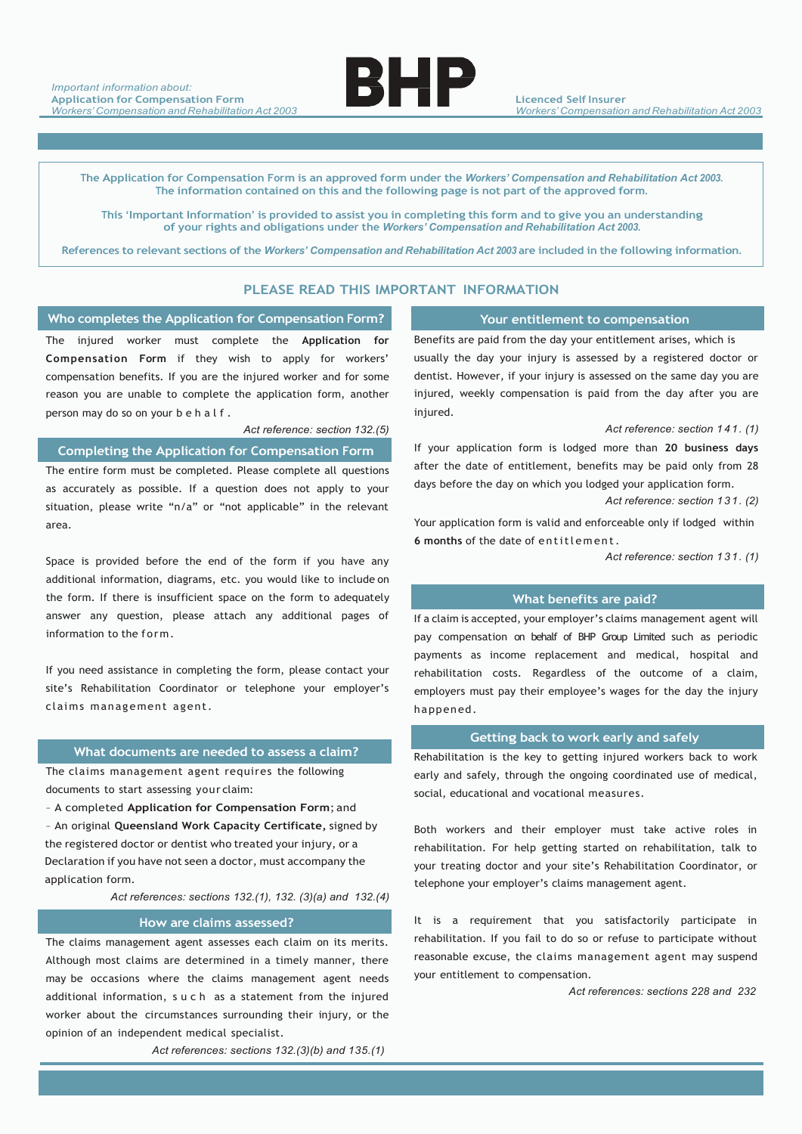

**Licenced Self Insurer** *Workers' Compensation and Rehabilitation Act 2003*

The Application for Compensation Form is an approved form under the Workers' Compensation and Rehabilitation Act 2003. **The information contained on this and the following page is not part of the approved form.**

This 'Important Information' is provided to assist you in completing this form and to give you an understanding **of your rights and obligations under the** *Workers' Compensation and Rehabilitation Act 2003.*

References to relevant sections of the Workers' Compensation and Rehabilitation Act 2003 are included in the following information.

## **PLEASE READ THIS IMPORTANT INFORMATION**

## **Who completes the Application for Compensation Form? Your entitlement to compensation**

The injured worker must complete the **Application for Compensation Form** if they wish to apply for workers' compensation benefits. If you are the injured worker and for some reason you are unable to complete the application form, another person may do so on your behalf.

#### *Act reference: section 132.(5)*

# **Completing the Application for Compensation Form**

The entire form must be completed. Please complete all questions as accurately as possible. If a question does not apply to your situation, please write "n/a" or "not applicable" in the relevant area.

Space is provided before the end of the form if you have any additional information, diagrams, etc. you would like to include on the form. If there is insufficient space on the form to adequately answer any question, please attach any additional pages of information to the form.

If you need assistance in completing the form, please contact your site's Rehabilitation Coordinator or telephone your employer's claims management agent.

#### **What documents are needed to assess a claim?**

The claims management agent requires the following documents to start assessing your claim:

– A completed **Application for Compensation Form**; and – An original **Queensland Work Capacity Certificate,** signed by the registered doctor or dentist who treated your injury, or a Declaration if you have not seen a doctor, must accompany the application form.

*Act references: sections 132.(1), 132. (3)(a) and 132.(4)*

## **How are claims assessed?**

The claims management agent assesses each claim on its merits. Although most claims are determined in a timely manner, there may be occasions where the claims management agent needs additional information, such as a statement from the injured worker about the circumstances surrounding their injury, or the opinion of an independent medical specialist.

*Act references: sections 132.(3)(b) and 135.(1)*

Benefits are paid from the day your entitlement arises, which is usually the day your injury is assessed by a registered doctor or dentist. However, if your injury is assessed on the same day you are injured, weekly compensation is paid from the day after you are injured.

*Act reference: section 141. (1)*

If your application form is lodged more than **20 business days** after the date of entitlement, benefits may be paid only from 28 days before the day on which you lodged your application form.

*Act reference: section 131. (2)*

Your application form is valid and enforceable only if lodged within **6 months** of the date of entitlement.

*Act reference: section 131. (1)*

## **What benefits are paid?**

If a claim is accepted, your employer's claims management agent will pay compensation on behalf of BHP Group Limited such as periodic payments as income replacement and medical, hospital and rehabilitation costs. Regardless of the outcome of a claim, employers must pay their employee's wages for the day the injury happened.

### **Getting back to work early and safely**

Rehabilitation is the key to getting injured workers back to work early and safely, through the ongoing coordinated use of medical, social, educational and vocational measures.

Both workers and their employer must take active roles in rehabilitation. For help getting started on rehabilitation, talk to your treating doctor and your site's Rehabilitation Coordinator, or telephone your employer's claims management agent.

It is a requirement that you satisfactorily participate in rehabilitation. If you fail to do so or refuse to participate without reasonable excuse, the claims management agent may suspend your entitlement to compensation.

*Act references: sections 228 and 232*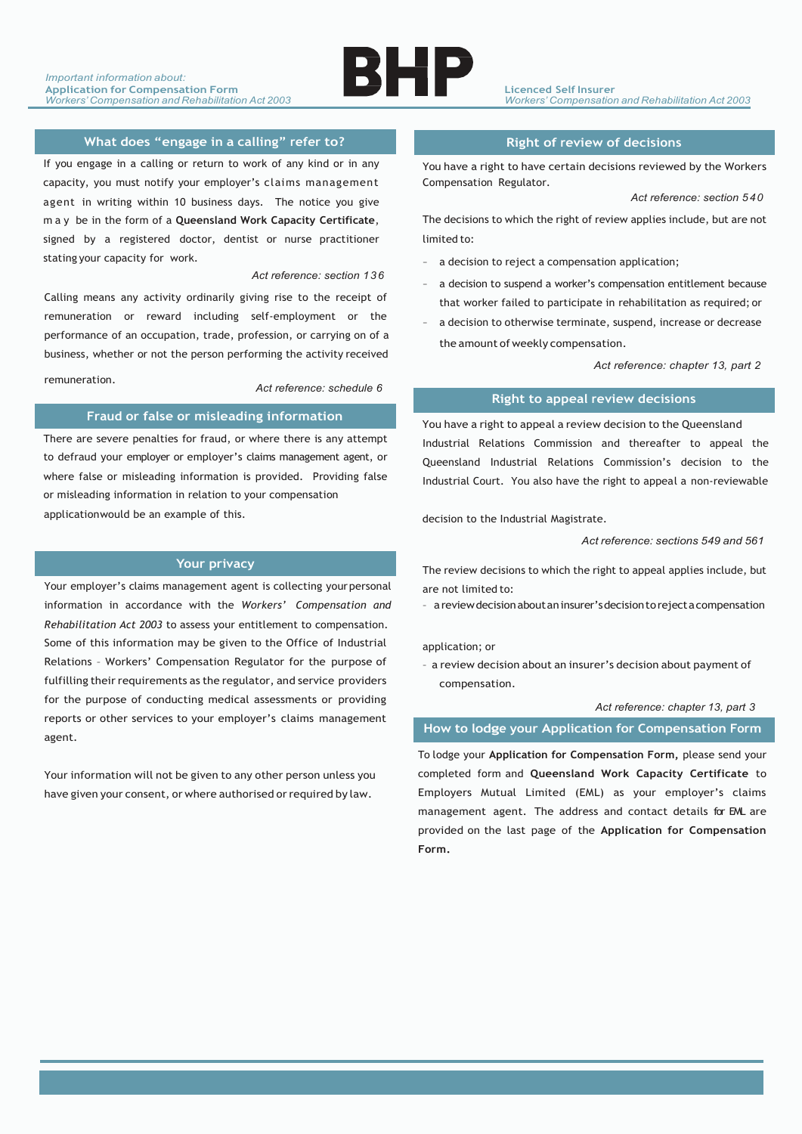

# **What does "engage in a calling" refer to?**

If you engage in a calling or return to work of any kind or in any capacity, you must notify your employer's claims management agent in writing within 10 business days. The notice you give may be in the form of a **Queensland Work Capacity Certificate**, signed by a registered doctor, dentist or nurse practitioner stating your capacity for work.

#### *Act reference: section 136*

Calling means any activity ordinarily giving rise to the receipt of remuneration or reward including self-employment or the performance of an occupation, trade, profession, or carrying on of a business, whether or not the person performing the activity received

remuneration.

*Act reference: schedule 6*

## **Fraud or false or misleading information**

There are severe penalties for fraud, or where there is any attempt to defraud your employer or employer's claims management agent, or where false or misleading information is provided. Providing false or misleading information in relation to your compensation applicationwould be an example of this.

## **Your privacy**

Your employer's claims management agent is collecting your personal information in accordance with the *Workers' Compensation and Rehabilitation Act 2003* to assess your entitlement to compensation. Some of this information may be given to the Office of Industrial Relations – Workers' Compensation Regulator for the purpose of fulfilling their requirements as the regulator, and service providers for the purpose of conducting medical assessments or providing reports or other services to your employer's claims management agent.

Your information will not be given to any other person unless you have given your consent, or where authorised or required by law.

## **Right of review of decisions**

You have a right to have certain decisions reviewed by the Workers Compensation Regulator.

*Act reference: section 540*

The decisions to which the right of review applies include, but are not limited to:

- a decision to reject a compensation application;
- a decision to suspend a worker's compensation entitlement because that worker failed to participate in rehabilitation as required; or
- a decision to otherwise terminate, suspend, increase or decrease the amount of weekly compensation.

 *Act reference: chapter 13, part 2*

#### **Right to appeal review decisions**

You have a right to appeal a review decision to the Queensland Industrial Relations Commission and thereafter to appeal the Queensland Industrial Relations Commission's decision to the Industrial Court. You also have the right to appeal a non-reviewable

decision to the Industrial Magistrate.

*Act reference: sections 549 and 561*

The review decisions to which the right to appeal applies include, but are not limited to:

– a review decisionaboutaninsurer'sdecisiontoreject a compensation

application; or

– a review decision about an insurer's decision about payment of compensation.

#### *Act reference: chapter 13, part 3*

## **How to lodge your Application for Compensation Form**

To lodge your **Application for Compensation Form,** please send your completed form and **Queensland Work Capacity Certificate** to Employers Mutual Limited (EML) as your employer's claims management agent. The address and contact details for EML are provided on the last page of the **Application for Compensation Form.**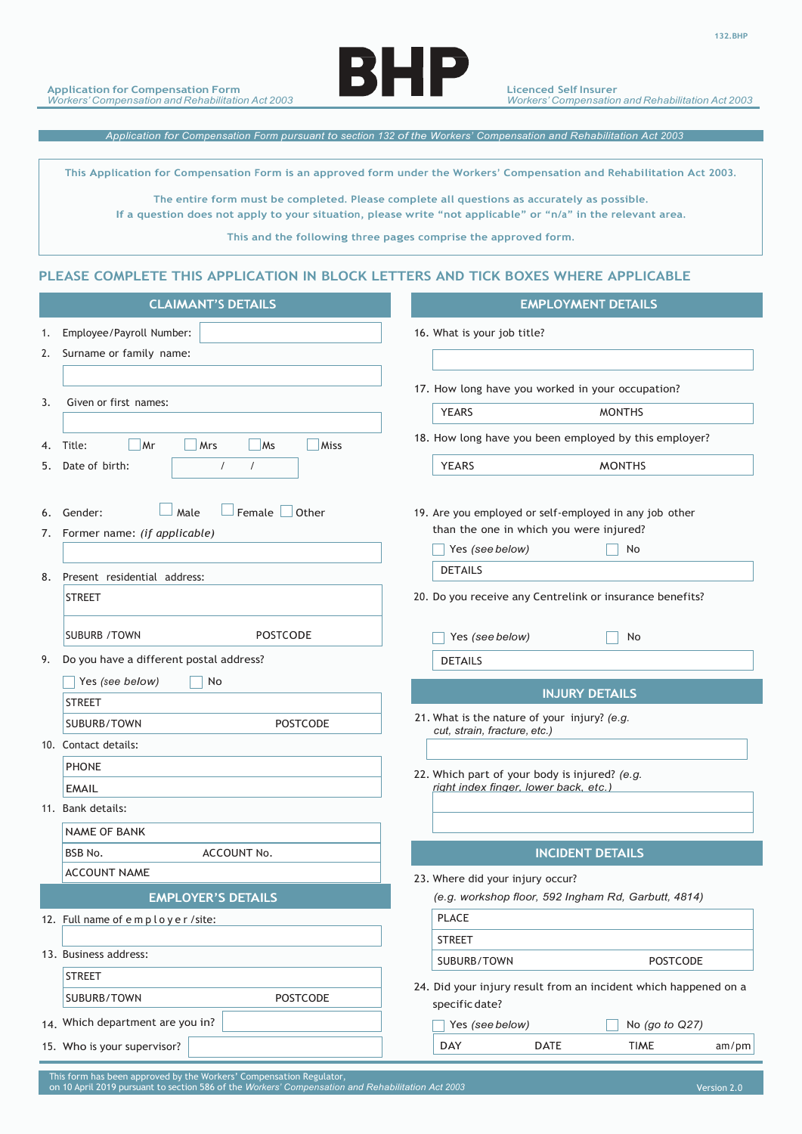

*Application for Compensation Form pursuant to section 132 of the Workers' Compensation and Rehabilitation Act 2003* 

This Application for Compensation Form is an approved form under the Workers' Compensation and Rehabilitation Act 2003.

**The entire form must be completed. Please complete all questions as accurately as possible.** If a question does not apply to your situation, please write "not applicable" or "n/a" in the relevant area.

**This and the following three pages comprise the approved form.**

## **PLEASE COMPLETE THIS APPLICATION IN BLOCK LETTERS AND TICK BOXES WHERE APPLICABLE**

| <b>CLAIMANT'S DETAILS</b>               | <b>EMPLOYMENT DETAILS</b>                                                                                                                                                                                                                                                                                                                                                           |
|-----------------------------------------|-------------------------------------------------------------------------------------------------------------------------------------------------------------------------------------------------------------------------------------------------------------------------------------------------------------------------------------------------------------------------------------|
|                                         | 16. What is your job title?                                                                                                                                                                                                                                                                                                                                                         |
|                                         |                                                                                                                                                                                                                                                                                                                                                                                     |
|                                         |                                                                                                                                                                                                                                                                                                                                                                                     |
|                                         | 17. How long have you worked in your occupation?                                                                                                                                                                                                                                                                                                                                    |
|                                         | <b>YEARS</b><br><b>MONTHS</b>                                                                                                                                                                                                                                                                                                                                                       |
| $\Box$ Mrs<br>Ms<br>Miss<br>$\vert$ Mr  | 18. How long have you been employed by this employer?                                                                                                                                                                                                                                                                                                                               |
|                                         | YEARS<br><b>MONTHS</b>                                                                                                                                                                                                                                                                                                                                                              |
|                                         |                                                                                                                                                                                                                                                                                                                                                                                     |
| $\Box$ Female $\Box$ Other              | 19. Are you employed or self-employed in any job other                                                                                                                                                                                                                                                                                                                              |
|                                         | than the one in which you were injured?                                                                                                                                                                                                                                                                                                                                             |
|                                         | $\Box$ No<br>$\Box$ Yes (see below)                                                                                                                                                                                                                                                                                                                                                 |
|                                         | <b>DETAILS</b>                                                                                                                                                                                                                                                                                                                                                                      |
| <b>STREET</b>                           | 20. Do you receive any Centrelink or insurance benefits?                                                                                                                                                                                                                                                                                                                            |
|                                         |                                                                                                                                                                                                                                                                                                                                                                                     |
| <b>SUBURB / TOWN</b><br><b>POSTCODE</b> | $\Box$ No<br>$\Box$ Yes (see below)                                                                                                                                                                                                                                                                                                                                                 |
|                                         | <b>DETAILS</b>                                                                                                                                                                                                                                                                                                                                                                      |
| $\Box$ No<br>$\Box$ Yes (see below)     |                                                                                                                                                                                                                                                                                                                                                                                     |
| <b>STREET</b>                           | <b>INJURY DETAILS</b>                                                                                                                                                                                                                                                                                                                                                               |
| POSTCODE<br>SUBURB/TOWN                 | 21. What is the nature of your injury? (e.g.<br>cut, strain, fracture, etc.)                                                                                                                                                                                                                                                                                                        |
|                                         |                                                                                                                                                                                                                                                                                                                                                                                     |
| PHONE                                   | 22. Which part of your body is injured? (e.g.                                                                                                                                                                                                                                                                                                                                       |
| <b>EMAIL</b>                            | right index finger, lower back, etc.)                                                                                                                                                                                                                                                                                                                                               |
|                                         |                                                                                                                                                                                                                                                                                                                                                                                     |
| NAME OF BANK                            |                                                                                                                                                                                                                                                                                                                                                                                     |
| ACCOUNT No.<br><b>BSB No.</b>           | <b>INCIDENT DETAILS</b>                                                                                                                                                                                                                                                                                                                                                             |
| ACCOUNT NAME                            | 23. Where did your injury occur?                                                                                                                                                                                                                                                                                                                                                    |
| <b>EMPLOYER'S DETAILS</b>               | (e.g. workshop floor, 592 Ingham Rd, Garbutt, 4814)                                                                                                                                                                                                                                                                                                                                 |
|                                         | PLACE                                                                                                                                                                                                                                                                                                                                                                               |
|                                         | <b>STREET</b>                                                                                                                                                                                                                                                                                                                                                                       |
|                                         | SUBURB/TOWN<br>POSTCODE                                                                                                                                                                                                                                                                                                                                                             |
| <b>STREET</b>                           | 24. Did your injury result from an incident which happened on a                                                                                                                                                                                                                                                                                                                     |
| POSTCODE<br>SUBURB/TOWN                 | specific date?                                                                                                                                                                                                                                                                                                                                                                      |
| 14. Which department are you in?        | $\Box$ No (go to Q27)<br>Yes (see below)                                                                                                                                                                                                                                                                                                                                            |
|                                         |                                                                                                                                                                                                                                                                                                                                                                                     |
|                                         | 1. Employee/Payroll Number:<br>2. Surname or family name:<br>3. Given or first names:<br>4. Title:<br>5. Date of birth:<br>$\Box$ Male<br>6. Gender:<br>7. Former name: (if applicable)<br>8. Present residential address:<br>9. Do you have a different postal address?<br>10. Contact details:<br>11. Bank details:<br>12. Full name of employer / site:<br>13. Business address: |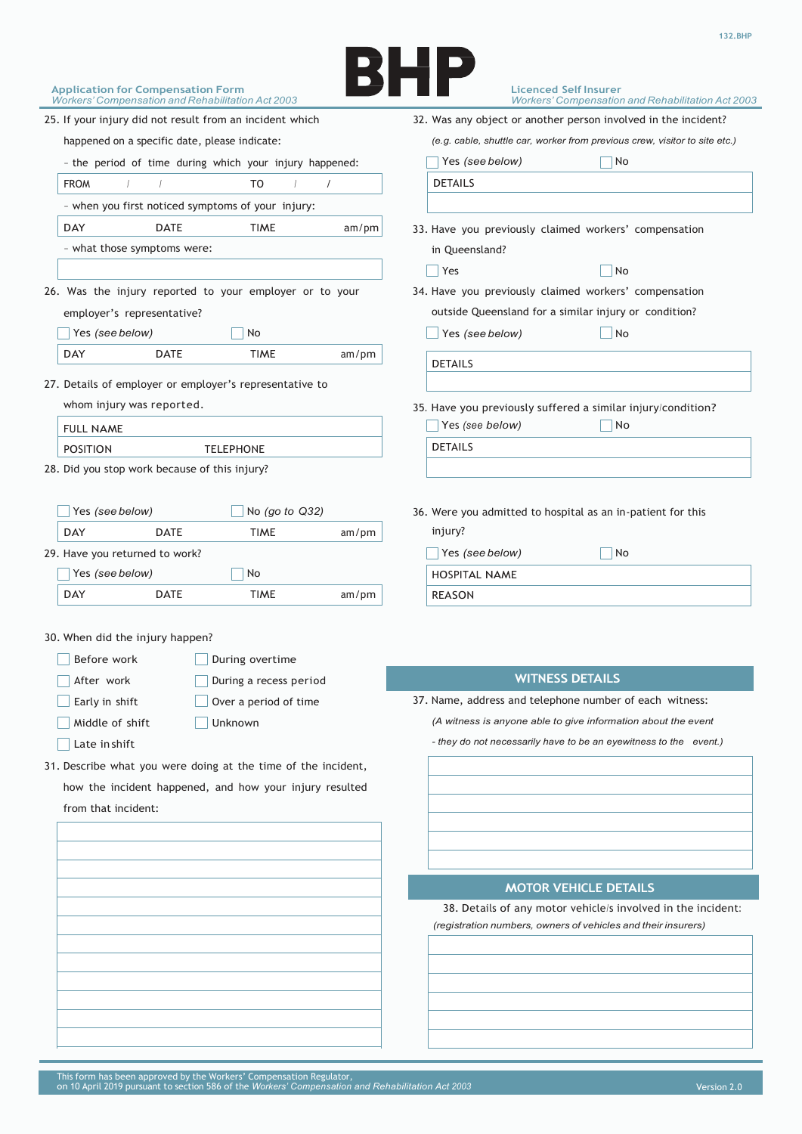

| <b>Application for Compensation Form</b><br><b>Workers' Compensation and Rehabilitation Act 2003</b>                                                                                                                                                                                                                                                                                      | <b>Licenced Self Insurer</b><br><b>Workers' Compensation and Rehabilitation Act 2003</b>                                                                                                                                |
|-------------------------------------------------------------------------------------------------------------------------------------------------------------------------------------------------------------------------------------------------------------------------------------------------------------------------------------------------------------------------------------------|-------------------------------------------------------------------------------------------------------------------------------------------------------------------------------------------------------------------------|
| 25. If your injury did not result from an incident which                                                                                                                                                                                                                                                                                                                                  | 32. Was any object or another person involved in the incident?                                                                                                                                                          |
| happened on a specific date, please indicate:                                                                                                                                                                                                                                                                                                                                             | (e.g. cable, shuttle car, worker from previous crew, visitor to site etc.)                                                                                                                                              |
| - the period of time during which your injury happened:                                                                                                                                                                                                                                                                                                                                   | $\Box$ No<br>Yes (see below)                                                                                                                                                                                            |
| <b>FROM</b><br>T <sub>0</sub>                                                                                                                                                                                                                                                                                                                                                             | <b>DETAILS</b>                                                                                                                                                                                                          |
| - when you first noticed symptoms of your injury:                                                                                                                                                                                                                                                                                                                                         |                                                                                                                                                                                                                         |
| <b>DAY</b><br><b>DATE</b><br><b>TIME</b><br>am/pm                                                                                                                                                                                                                                                                                                                                         | 33. Have you previously claimed workers' compensation                                                                                                                                                                   |
| - what those symptoms were:                                                                                                                                                                                                                                                                                                                                                               | in Queensland?                                                                                                                                                                                                          |
|                                                                                                                                                                                                                                                                                                                                                                                           | $\Box$ Yes<br>$\vert$ No                                                                                                                                                                                                |
| 26. Was the injury reported to your employer or to your                                                                                                                                                                                                                                                                                                                                   | 34. Have you previously claimed workers' compensation                                                                                                                                                                   |
| employer's representative?                                                                                                                                                                                                                                                                                                                                                                | outside Queensland for a similar injury or condition?                                                                                                                                                                   |
| $\Box$ Yes (see below)<br>  No                                                                                                                                                                                                                                                                                                                                                            | $\Box$ No<br>$\Box$ Yes (see below)                                                                                                                                                                                     |
| <b>DAY</b><br>DATE<br>TIME<br>am/pm                                                                                                                                                                                                                                                                                                                                                       |                                                                                                                                                                                                                         |
|                                                                                                                                                                                                                                                                                                                                                                                           | <b>DETAILS</b>                                                                                                                                                                                                          |
| 27. Details of employer or employer's representative to                                                                                                                                                                                                                                                                                                                                   |                                                                                                                                                                                                                         |
| whom injury was reported.                                                                                                                                                                                                                                                                                                                                                                 | 35. Have you previously suffered a similar injury/condition?                                                                                                                                                            |
| <b>FULL NAME</b>                                                                                                                                                                                                                                                                                                                                                                          | $\Box$ No<br>$\Box$ Yes (see below)                                                                                                                                                                                     |
| <b>POSITION</b><br><b>TELEPHONE</b><br>28. Did you stop work because of this injury?                                                                                                                                                                                                                                                                                                      | <b>DETAILS</b>                                                                                                                                                                                                          |
| $\Box$ No (go to Q32)<br>$\vert$ Yes (see below)<br><b>DATE</b><br>DAY<br><b>TIME</b><br>am/pm<br>29. Have you returned to work?                                                                                                                                                                                                                                                          | 36. Were you admitted to hospital as an in-patient for this<br>injury?<br>$\Box$ No<br>$\sqrt{$ Yes (see below)                                                                                                         |
| $\Box$ Yes (see below)<br>$\neg$ No                                                                                                                                                                                                                                                                                                                                                       | HOSPITAL NAME                                                                                                                                                                                                           |
| <b>DAY</b><br><b>DATE</b><br>TIME<br>am/pm                                                                                                                                                                                                                                                                                                                                                | <b>REASON</b>                                                                                                                                                                                                           |
| 30. When did the injury happen?<br>Before work<br>During overtime<br>After work<br>During a recess period<br>$\Box$ Early in shift<br>$\Box$ Over a period of time<br>$\Box$ Middle of shift<br>$\Box$ Unknown<br>$\Box$ Late in shift<br>31. Describe what you were doing at the time of the incident,<br>how the incident happened, and how your injury resulted<br>from that incident: | <b>WITNESS DETAILS</b><br>37. Name, address and telephone number of each witness:<br>(A witness is anyone able to give information about the event<br>- they do not necessarily have to be an eyewitness to the event.) |
|                                                                                                                                                                                                                                                                                                                                                                                           | <b>MOTOR VEHICLE DETAILS</b><br>38. Details of any motor vehicle/s involved in the incident:<br>(registration numbers, owners of vehicles and their insurers)                                                           |
|                                                                                                                                                                                                                                                                                                                                                                                           |                                                                                                                                                                                                                         |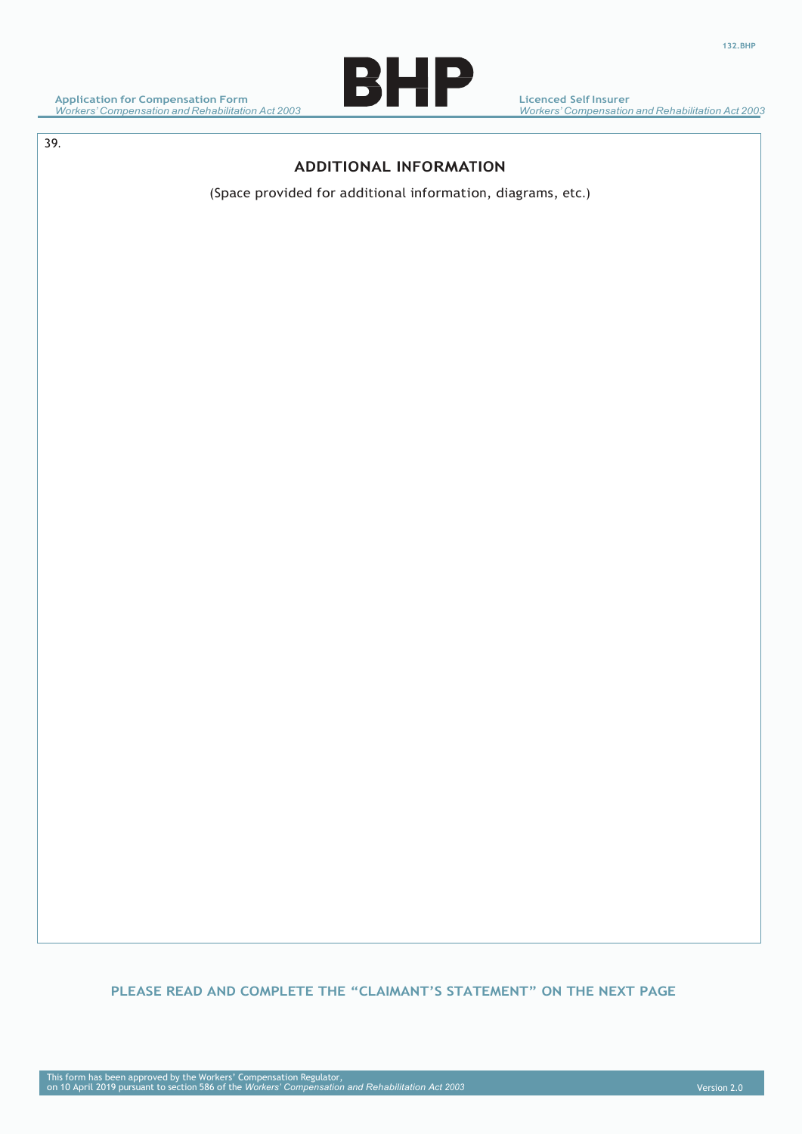

**Licenced Self Insurer** *Workers' Compensation and Rehabilitation Act 2003*

39. **CLAIMANT'S STATEMENT**

# **ADDITIONAL INFORMATION**

(Space provided for additional information, diagrams, etc.)

# **PLEASE READ AND COMPLETE THE "CLAIMANT'S STATEMENT" ON THE NEXT PAGE**